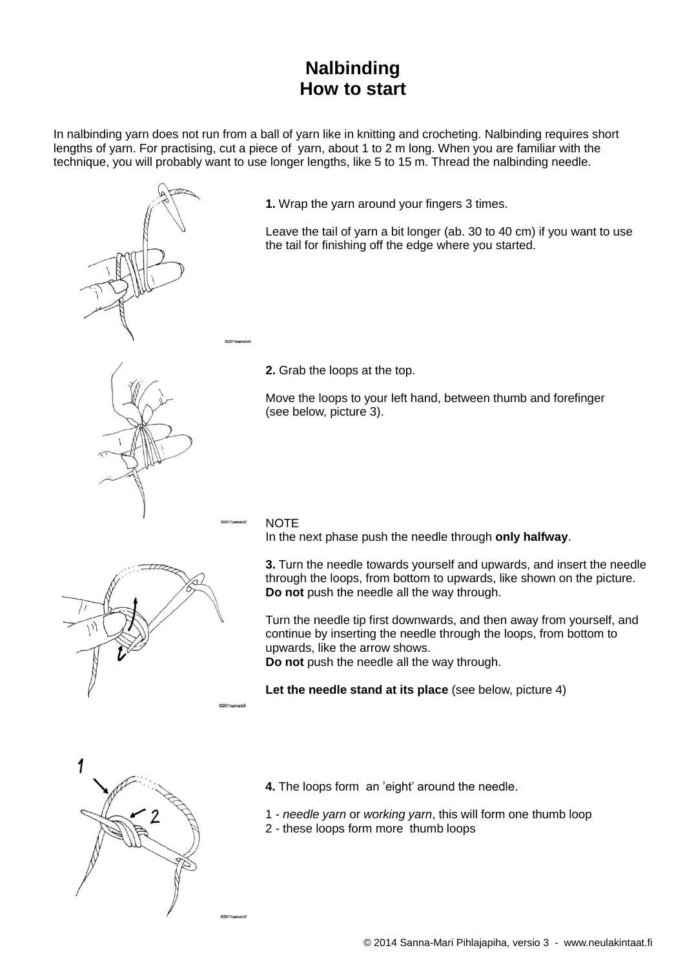# **Nalbinding How to start**

In nalbinding yarn does not run from a ball of yarn like in knitting and crocheting. Nalbinding requires short lengths of yarn. For practising, cut a piece of yarn, about 1 to 2 m long. When you are familiar with the technique, you will probably want to use longer lengths, like 5 to 15 m. Thread the nalbinding needle.



**1.** Wrap the yarn around your fingers 3 times.

Leave the tail of yarn a bit longer (ab. 30 to 40 cm) if you want to use the tail for finishing off the edge where you started.

**2.** Grab the loops at the top.

Move the loops to your left hand, between thumb and forefinger (see below, picture 3).

### **NOTE**

In the next phase push the needle through **only halfway**.

**3.** Turn the needle towards yourself and upwards, and insert the needle through the loops, from bottom to upwards, like shown on the picture.

Turn the needle tip first downwards, and then away from yourself, and continue by inserting the needle through the loops, from bottom to upwards, like the arrow shows. **Do not** push the needle all the way through.

**Let the needle stand at its place** (see below, picture 4)



- **4.** The loops form an 'eight' around the needle.
- 1 *needle yarn* or *working yarn*, this will form one thumb loop
- 2 these loops form more thumb loops

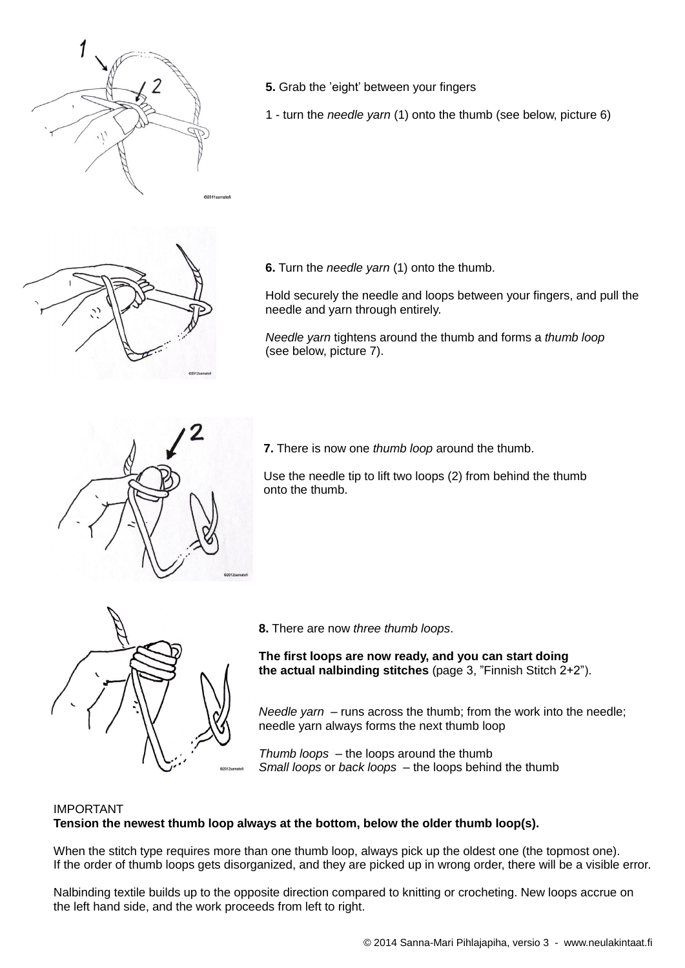

- **5.** Grab the 'eight' between your fingers
- 1 turn the *needle yarn* (1) onto the thumb (see below, picture 6)



**6.** Turn the *needle yarn* (1) onto the thumb.

Hold securely the needle and loops between your fingers, and pull the needle and yarn through entirely.

*Needle yarn* tightens around the thumb and forms a *thumb loop* (see below, picture 7).



**7.** There is now one *thumb loop* around the thumb.

Use the needle tip to lift two loops (2) from behind the thumb onto the thumb.



**8.** There are now *three thumb loops*.

**The first loops are now ready, and you can start doing the actual nalbinding stitches** (page 3, "Finnish Stitch 2+2").

*Needle yarn –* runs across the thumb; from the work into the needle; needle yarn always forms the next thumb loop

*Thumb loops* – the loops around the thumb *Small loops* or *back loops* – the loops behind the thumb

## IMPORTANT **Tension the newest thumb loop always at the bottom, below the older thumb loop(s).**

When the stitch type requires more than one thumb loop, always pick up the oldest one (the topmost one). If the order of thumb loops gets disorganized, and they are picked up in wrong order, there will be a visible error.

Nalbinding textile builds up to the opposite direction compared to knitting or crocheting. New loops accrue on the left hand side, and the work proceeds from left to right.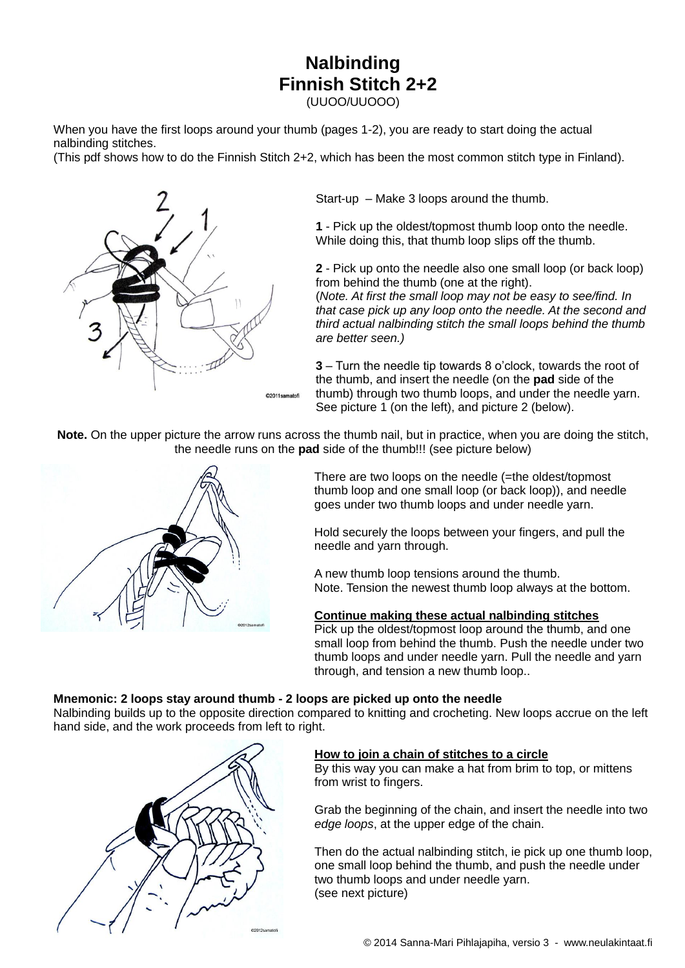# **Nalbinding Finnish Stitch 2+2**

(UUOO/UUOOO)

When you have the first loops around your thumb (pages 1-2), you are ready to start doing the actual nalbinding stitches.

(This pdf shows how to do the Finnish Stitch 2+2, which has been the most common stitch type in Finland).



Start-up – Make 3 loops around the thumb.

**1** - Pick up the oldest/topmost thumb loop onto the needle. While doing this, that thumb loop slips off the thumb.

**2** - Pick up onto the needle also one small loop (or back loop) from behind the thumb (one at the right).

(*Note. At first the small loop may not be easy to see/find. In that case pick up any loop onto the needle. At the second and third actual nalbinding stitch the small loops behind the thumb are better seen.)*

**3** – Turn the needle tip towards 8 o'clock, towards the root of the thumb, and insert the needle (on the **pad** side of the thumb) through two thumb loops, and under the needle yarn. See picture 1 (on the left), and picture 2 (below).

**Note.** On the upper picture the arrow runs across the thumb nail, but in practice, when you are doing the stitch, the needle runs on the **pad** side of the thumb!!! (see picture below)



There are two loops on the needle (=the oldest/topmost thumb loop and one small loop (or back loop)), and needle goes under two thumb loops and under needle yarn.

Hold securely the loops between your fingers, and pull the needle and yarn through.

A new thumb loop tensions around the thumb. Note. Tension the newest thumb loop always at the bottom.

#### **Continue making these actual nalbinding stitches**

Pick up the oldest/topmost loop around the thumb, and one small loop from behind the thumb. Push the needle under two thumb loops and under needle yarn. Pull the needle and yarn through, and tension a new thumb loop..

#### **Mnemonic: 2 loops stay around thumb - 2 loops are picked up onto the needle**

Nalbinding builds up to the opposite direction compared to knitting and crocheting. New loops accrue on the left hand side, and the work proceeds from left to right.



#### **How to join a chain of stitches to a circle**

By this way you can make a hat from brim to top, or mittens from wrist to fingers.

Grab the beginning of the chain, and insert the needle into two *edge loops*, at the upper edge of the chain.

Then do the actual nalbinding stitch, ie pick up one thumb loop, one small loop behind the thumb, and push the needle under two thumb loops and under needle yarn. (see next picture)